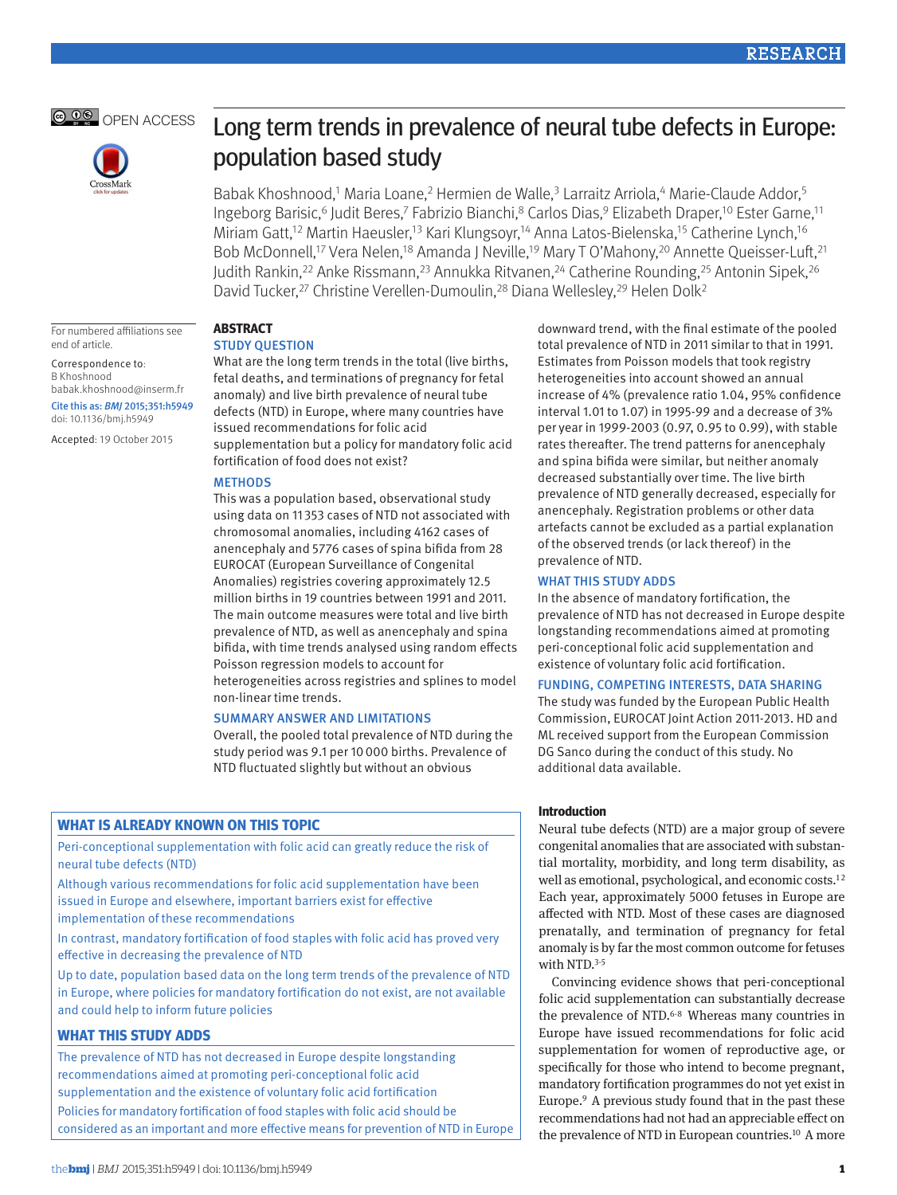# [open access](http://)



# Long term trends in prevalence of neural tube defects in Europe: population based study

Babak Khoshnood,<sup>1</sup> Maria Loane,<sup>2</sup> Hermien de Walle,<sup>3</sup> Larraitz Arriola,<sup>4</sup> Marie-Claude Addor,<sup>5</sup> Ingeborg Barisic,<sup>6</sup> Judit Beres,<sup>7</sup> Fabrizio Bianchi,<sup>8</sup> Carlos Dias,<sup>9</sup> Elizabeth Draper,<sup>10</sup> Ester Garne,<sup>11</sup> Miriam Gatt,<sup>12</sup> Martin Haeusler,<sup>13</sup> Kari Klungsoyr,<sup>14</sup> Anna Latos-Bielenska,<sup>15</sup> Catherine Lynch,<sup>16</sup> Bob McDonnell,<sup>17</sup> Vera Nelen,<sup>18</sup> Amanda J Neville,<sup>19</sup> Mary T O'Mahony,<sup>20</sup> Annette Queisser-Luft,<sup>21</sup> Judith Rankin,<sup>22</sup> Anke Rissmann,<sup>23</sup> Annukka Ritvanen,<sup>24</sup> Catherine Rounding,<sup>25</sup> Antonin Sipek,<sup>26</sup> David Tucker,<sup>27</sup> Christine Verellen-Dumoulin,<sup>28</sup> Diana Wellesley,<sup>29</sup> Helen Dolk<sup>2</sup>

For numbered affiliations see end of article.

Correspondence to: B Khoshnood babak.khoshnood@inserm.fr Cite this as: *BMJ* 2015;351:h5949 doi: 10.1136/bmj.h5949

Accepted: 19 October 2015

## **ARSTRACT STUDY QUESTION**

What are the long term trends in the total (live births, fetal deaths, and terminations of pregnancy for fetal anomaly) and live birth prevalence of neural tube defects (NTD) in Europe, where many countries have issued recommendations for folic acid supplementation but a policy for mandatory folic acid fortification of food does not exist?

## **METHODS**

This was a population based, observational study using data on 11353 cases of NTD not associated with chromosomal anomalies, including 4162 cases of anencephaly and 5776 cases of spina bifida from 28 EUROCAT (European Surveillance of Congenital Anomalies) registries covering approximately 12.5 million births in 19 countries between 1991 and 2011. The main outcome measures were total and live birth prevalence of NTD, as well as anencephaly and spina bifida, with time trends analysed using random effects Poisson regression models to account for heterogeneities across registries and splines to model non-linear time trends.

# Summary answer and limitations

Overall, the pooled total prevalence of NTD during the study period was 9.1 per 10000 births. Prevalence of NTD fluctuated slightly but without an obvious

# **What is already known on this topic**

Peri-conceptional supplementation with folic acid can greatly reduce the risk of neural tube defects (NTD)

Although various recommendations for folic acid supplementation have been issued in Europe and elsewhere, important barriers exist for effective implementation of these recommendations

In contrast, mandatory fortification of food staples with folic acid has proved very effective in decreasing the prevalence of NTD

Up to date, population based data on the long term trends of the prevalence of NTD in Europe, where policies for mandatory fortification do not exist, are not available and could help to inform future policies

# **What this study adds**

The prevalence of NTD has not decreased in Europe despite longstanding recommendations aimed at promoting peri-conceptional folic acid supplementation and the existence of voluntary folic acid fortification

Policies for mandatory fortification of food staples with folic acid should be considered as an important and more effective means for prevention of NTD in Europe downward trend, with the final estimate of the pooled total prevalence of NTD in 2011 similar to that in 1991. Estimates from Poisson models that took registry heterogeneities into account showed an annual increase of 4% (prevalence ratio 1.04, 95% confidence interval 1.01 to 1.07) in 1995-99 and a decrease of 3% per year in 1999-2003 (0.97, 0.95 to 0.99), with stable rates thereafter. The trend patterns for anencephaly and spina bifida were similar, but neither anomaly decreased substantially over time. The live birth prevalence of NTD generally decreased, especially for anencephaly. Registration problems or other data artefacts cannot be excluded as a partial explanation of the observed trends (or lack thereof) in the prevalence of NTD.

## WHAT THIS STUDY ADDS

In the absence of mandatory fortification, the prevalence of NTD has not decreased in Europe despite longstanding recommendations aimed at promoting peri-conceptional folic acid supplementation and existence of voluntary folic acid fortification.

## Funding, competing interests, data sharing

The study was funded by the European Public Health Commission, EUROCAT Joint Action 2011-2013. HD and ML received support from the European Commission DG Sanco during the conduct of this study. No additional data available.

## **Introduction**

Neural tube defects (NTD) are a major group of severe congenital anomalies that are associated with substantial mortality, morbidity, and long term disability, as well as emotional, psychological, and economic costs.<sup>12</sup> Each year, approximately 5000 fetuses in Europe are affected with NTD. Most of these cases are diagnosed prenatally, and termination of pregnancy for fetal anomaly is by far the most common outcome for fetuses with NTD.<sup>3-5</sup>

Convincing evidence shows that peri-conceptional folic acid supplementation can substantially decrease the prevalence of NTD.<sup>6-8</sup> Whereas many countries in Europe have issued recommendations for folic acid supplementation for women of reproductive age, or specifically for those who intend to become pregnant, mandatory fortification programmes do not yet exist in Europe.9 A previous study found that in the past these recommendations had not had an appreciable effect on the prevalence of NTD in European countries.10 A more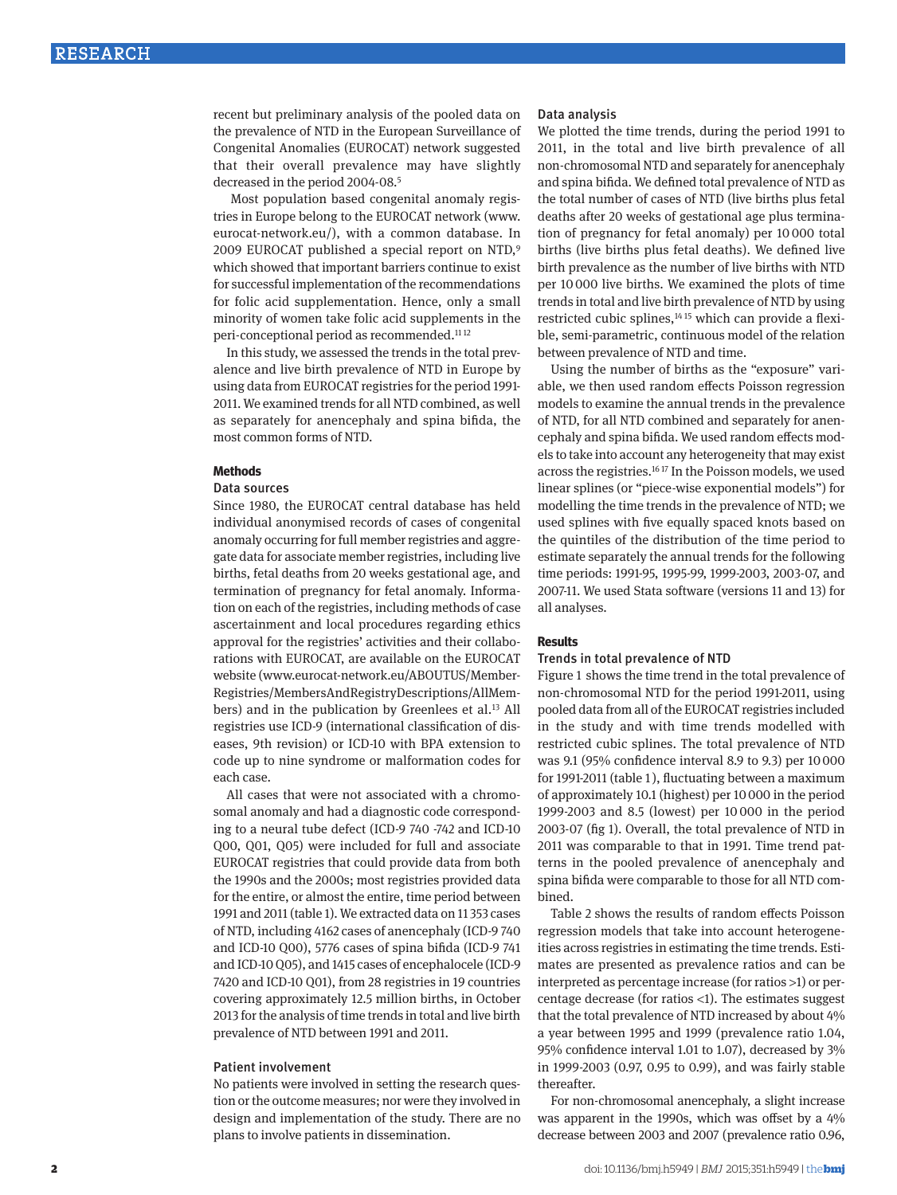recent but preliminary analysis of the pooled data on the prevalence of NTD in the European Surveillance of Congenital Anomalies (EUROCAT) network suggested that their overall prevalence may have slightly decreased in the period 2004-08.5

 Most population based congenital anomaly registries in Europe belong to the EUROCAT network (www. eurocat-network.eu/), with a common database. In 2009 EUROCAT published a special report on NTD,<sup>9</sup> which showed that important barriers continue to exist for successful implementation of the recommendations for folic acid supplementation. Hence, only a small minority of women take folic acid supplements in the peri-conceptional period as recommended.11 <sup>12</sup>

In this study, we assessed the trends in the total prevalence and live birth prevalence of NTD in Europe by using data from EUROCAT registries for the period 1991- 2011. We examined trends for all NTD combined, as well as separately for anencephaly and spina bifida, the most common forms of NTD.

#### **Methods**

#### Data sources

Since 1980, the EUROCAT central database has held individual anonymised records of cases of congenital anomaly occurring for full member registries and aggregate data for associate member registries, including live births, fetal deaths from 20 weeks gestational age, and termination of pregnancy for fetal anomaly. Information on each of the registries, including methods of case ascertainment and local procedures regarding ethics approval for the registries' activities and their collaborations with EUROCAT, are available on the EUROCAT website (www.eurocat-network.eu/ABOUTUS/Member-Registries/MembersAndRegistryDescriptions/AllMembers) and in the publication by Greenlees et al.<sup>13</sup> All registries use ICD-9 (international classification of diseases, 9th revision) or ICD-10 with BPA extension to code up to nine syndrome or malformation codes for each case.

All cases that were not associated with a chromosomal anomaly and had a diagnostic code corresponding to a neural tube defect (ICD-9 740 -742 and ICD-10 Q00, Q01, Q05) were included for full and associate EUROCAT registries that could provide data from both the 1990s and the 2000s; most registries provided data for the entire, or almost the entire, time period between 1991 and 2011 (table 1). We extracted data on 11 353 cases of NTD, including 4162 cases of anencephaly (ICD-9 740 and ICD-10 Q00), 5776 cases of spina bifida (ICD-9 741 and ICD-10 Q05), and 1415 cases of encephalocele (ICD-9 7420 and ICD-10 Q01), from 28 registries in 19 countries covering approximately 12.5 million births, in October 2013 for the analysis of time trends in total and live birth prevalence of NTD between 1991 and 2011.

## Patient involvement

No patients were involved in setting the research question or the outcome measures; nor were they involved in design and implementation of the study. There are no plans to involve patients in dissemination.

#### Data analysis

We plotted the time trends, during the period 1991 to 2011, in the total and live birth prevalence of all non-chromosomal NTD and separately for anencephaly and spina bifida. We defined total prevalence of NTD as the total number of cases of NTD (live births plus fetal deaths after 20 weeks of gestational age plus termination of pregnancy for fetal anomaly) per 10 000 total births (live births plus fetal deaths). We defined live birth prevalence as the number of live births with NTD per 10000 live births. We examined the plots of time trends in total and live birth prevalence of NTD by using restricted cubic splines,<sup>14 15</sup> which can provide a flexible, semi-parametric, continuous model of the relation between prevalence of NTD and time.

Using the number of births as the "exposure" variable, we then used random effects Poisson regression models to examine the annual trends in the prevalence of NTD, for all NTD combined and separately for anencephaly and spina bifida. We used random effects models to take into account any heterogeneity that may exist across the registries.16 17 In the Poisson models, we used linear splines (or "piece-wise exponential models") for modelling the time trends in the prevalence of NTD; we used splines with five equally spaced knots based on the quintiles of the distribution of the time period to estimate separately the annual trends for the following time periods: 1991-95, 1995-99, 1999-2003, 2003-07, and 2007-11. We used Stata software (versions 11 and 13) for all analyses.

## **Results**

#### Trends in total prevalence of NTD

Figure 1 shows the time trend in the total prevalence of non-chromosomal NTD for the period 1991-2011, using pooled data from all of the EUROCAT registries included in the study and with time trends modelled with restricted cubic splines. The total prevalence of NTD was 9.1 (95% confidence interval 8.9 to 9.3) per 10000 for 1991-2011 (table 1), fluctuating between a maximum of approximately 10.1 (highest) per 10000 in the period 1999-2003 and 8.5 (lowest) per 10 000 in the period 2003-07 (fig 1). Overall, the total prevalence of NTD in 2011 was comparable to that in 1991. Time trend patterns in the pooled prevalence of anencephaly and spina bifida were comparable to those for all NTD combined.

Table 2 shows the results of random effects Poisson regression models that take into account heterogeneities across registries in estimating the time trends. Estimates are presented as prevalence ratios and can be interpreted as percentage increase (for ratios >1) or percentage decrease (for ratios <1). The estimates suggest that the total prevalence of NTD increased by about 4% a year between 1995 and 1999 (prevalence ratio 1.04, 95% confidence interval 1.01 to 1.07), decreased by 3% in 1999-2003 (0.97, 0.95 to 0.99), and was fairly stable thereafter.

For non-chromosomal anencephaly, a slight increase was apparent in the 1990s, which was offset by a 4% decrease between 2003 and 2007 (prevalence ratio 0.96,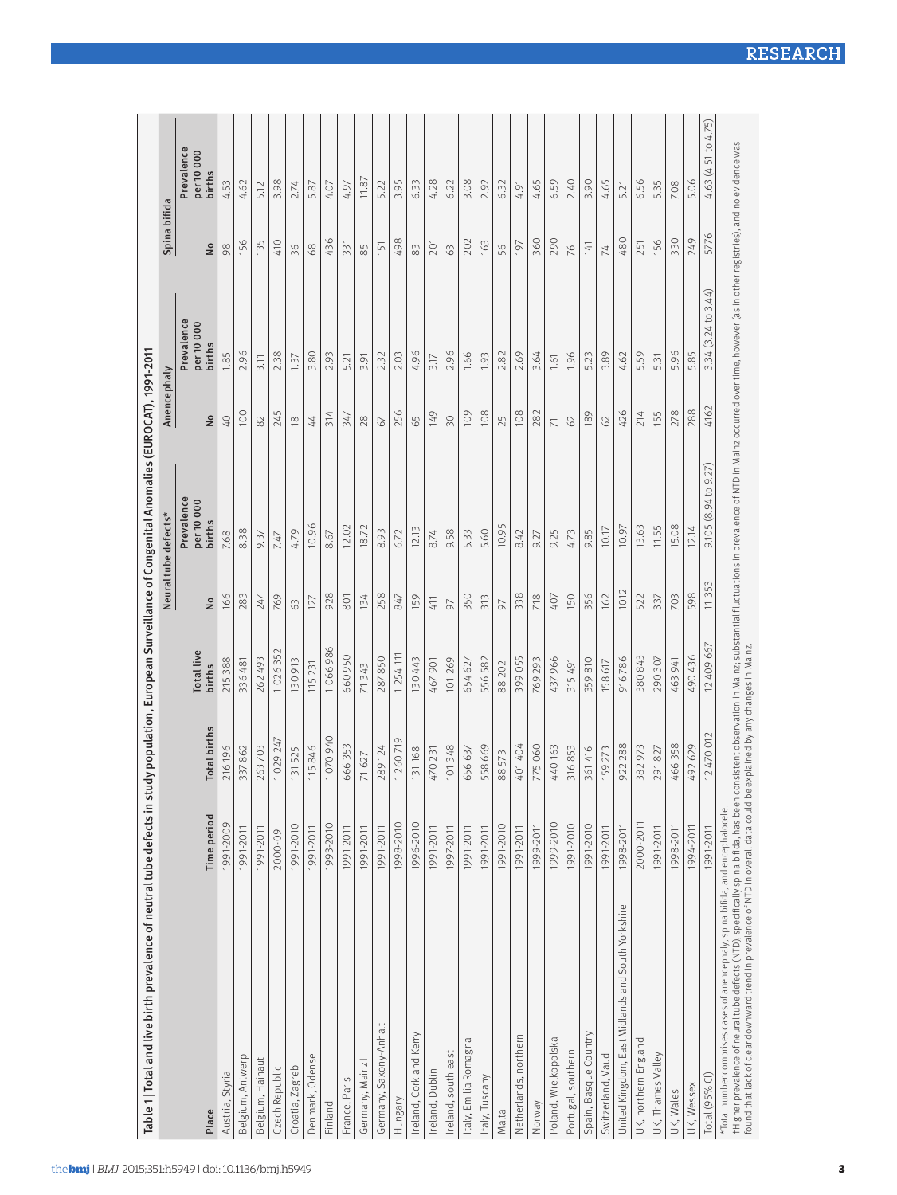| 928<br>258<br>338<br>356<br>283<br>350<br>150<br>166<br><b>SO1</b><br>134<br>847<br>313<br>718<br>407<br>769<br>159<br>162<br>247<br>$\overline{\mathsf{a}}$<br>127<br>411<br>63<br>50<br>57<br>1066986<br><b>Totallive</b><br>1026352<br>1254111<br>660950<br>215388<br>287850<br>130443<br>399 055<br>437966<br>262493<br>359 810<br>336 481<br>130913<br>556582<br>769293<br>467901<br>101 269<br>654627<br>315 491<br>158617<br>115 231<br>88 202<br>71 343<br><b>births</b><br><b>Total births</b><br>1070940<br>1 260 719<br>1029 247<br>558669<br>401 404<br>666 353<br>775060<br>115846<br>289124<br>101348<br>440163<br>216 196<br>337862<br>263703<br>131168<br>316853<br>131 525<br>656637<br>361 416<br>159 273<br>470 231<br>88573<br>71 627<br>Time period<br>1991-2009<br>1996-2010<br>1993-2010<br>1998-2010<br>1999-2010<br>1991-2010<br>1991-2010<br>1991-2010<br>1991-2010<br>1999-2011<br>1991-2011<br>1991-2011<br>1991-2011<br>1991-2011<br>1991-2011<br>1991-2011<br>1991-2011<br>1991-2011<br>1991-2011<br>1991-2011<br>1991-2011<br>1997-2011<br>2000-09<br>Germany, Saxony-Anhalt<br>Spain, Basque Country<br>Ireland, Cork and Kerry<br>Netherlands, northern<br>Poland, Wielkopolska<br>Italy, Emilia Romagna<br>Ireland, south east<br>Portugal, southern<br>Switzerland, Vaud<br>Denmark, Odense<br>Belgium, Antwerp<br>Belgium, Hainaut<br>Germany, Mainzt<br>Croatia, Zagreb<br>Czech Republic<br>Ireland, Dublin<br>Austria, Styria<br>Italy, Tuscany<br>France, Paris<br>Hungary<br>Norway<br>Finland<br>Place<br>Malta |                | Prevalence<br>per 10 000<br>Neural tube defects*<br>births<br>10.96<br>12.02<br>18.72<br>12.13<br>8.38<br>4.79<br>8.93<br>6.72<br>8.74<br>7.68<br>8.67<br>9.37<br>7.47 | Anencephaly<br>256<br>100<br>245<br>314<br>347<br>$\overline{\mathsf{N}}$ o<br>40<br>44<br>28<br>82<br>$\frac{\infty}{2}$<br>$\mathcal{O}$ | Prevalence<br>per 10 000<br><b>births</b><br>2.96<br>2.38<br>2.93<br>3.80<br>1.85<br>3.91<br>2.32<br>5.21<br>3.11<br>1.37 | Spina bifida<br>436<br>410<br>156<br>135<br>331<br>$\overline{\mathsf{z}}$<br>98<br>96<br>68 | Prevalence<br>per 10 000<br><b>births</b><br>11.87<br>4.53<br>3.98<br>4.62<br>4.07<br>4.97<br>5.12<br>2.74<br>5.87 |
|-----------------------------------------------------------------------------------------------------------------------------------------------------------------------------------------------------------------------------------------------------------------------------------------------------------------------------------------------------------------------------------------------------------------------------------------------------------------------------------------------------------------------------------------------------------------------------------------------------------------------------------------------------------------------------------------------------------------------------------------------------------------------------------------------------------------------------------------------------------------------------------------------------------------------------------------------------------------------------------------------------------------------------------------------------------------------------------------------------------------------------------------------------------------------------------------------------------------------------------------------------------------------------------------------------------------------------------------------------------------------------------------------------------------------------------------------------------------------------------------------------------------------------------------------------------|----------------|------------------------------------------------------------------------------------------------------------------------------------------------------------------------|--------------------------------------------------------------------------------------------------------------------------------------------|---------------------------------------------------------------------------------------------------------------------------|----------------------------------------------------------------------------------------------|--------------------------------------------------------------------------------------------------------------------|
|                                                                                                                                                                                                                                                                                                                                                                                                                                                                                                                                                                                                                                                                                                                                                                                                                                                                                                                                                                                                                                                                                                                                                                                                                                                                                                                                                                                                                                                                                                                                                           |                |                                                                                                                                                                        |                                                                                                                                            |                                                                                                                           |                                                                                              |                                                                                                                    |
|                                                                                                                                                                                                                                                                                                                                                                                                                                                                                                                                                                                                                                                                                                                                                                                                                                                                                                                                                                                                                                                                                                                                                                                                                                                                                                                                                                                                                                                                                                                                                           |                |                                                                                                                                                                        |                                                                                                                                            |                                                                                                                           |                                                                                              |                                                                                                                    |
|                                                                                                                                                                                                                                                                                                                                                                                                                                                                                                                                                                                                                                                                                                                                                                                                                                                                                                                                                                                                                                                                                                                                                                                                                                                                                                                                                                                                                                                                                                                                                           |                |                                                                                                                                                                        |                                                                                                                                            |                                                                                                                           |                                                                                              |                                                                                                                    |
|                                                                                                                                                                                                                                                                                                                                                                                                                                                                                                                                                                                                                                                                                                                                                                                                                                                                                                                                                                                                                                                                                                                                                                                                                                                                                                                                                                                                                                                                                                                                                           |                |                                                                                                                                                                        |                                                                                                                                            |                                                                                                                           |                                                                                              |                                                                                                                    |
|                                                                                                                                                                                                                                                                                                                                                                                                                                                                                                                                                                                                                                                                                                                                                                                                                                                                                                                                                                                                                                                                                                                                                                                                                                                                                                                                                                                                                                                                                                                                                           |                |                                                                                                                                                                        |                                                                                                                                            |                                                                                                                           |                                                                                              |                                                                                                                    |
|                                                                                                                                                                                                                                                                                                                                                                                                                                                                                                                                                                                                                                                                                                                                                                                                                                                                                                                                                                                                                                                                                                                                                                                                                                                                                                                                                                                                                                                                                                                                                           |                |                                                                                                                                                                        |                                                                                                                                            |                                                                                                                           |                                                                                              |                                                                                                                    |
|                                                                                                                                                                                                                                                                                                                                                                                                                                                                                                                                                                                                                                                                                                                                                                                                                                                                                                                                                                                                                                                                                                                                                                                                                                                                                                                                                                                                                                                                                                                                                           |                |                                                                                                                                                                        |                                                                                                                                            |                                                                                                                           |                                                                                              |                                                                                                                    |
|                                                                                                                                                                                                                                                                                                                                                                                                                                                                                                                                                                                                                                                                                                                                                                                                                                                                                                                                                                                                                                                                                                                                                                                                                                                                                                                                                                                                                                                                                                                                                           |                |                                                                                                                                                                        |                                                                                                                                            |                                                                                                                           |                                                                                              |                                                                                                                    |
|                                                                                                                                                                                                                                                                                                                                                                                                                                                                                                                                                                                                                                                                                                                                                                                                                                                                                                                                                                                                                                                                                                                                                                                                                                                                                                                                                                                                                                                                                                                                                           |                |                                                                                                                                                                        |                                                                                                                                            |                                                                                                                           |                                                                                              |                                                                                                                    |
|                                                                                                                                                                                                                                                                                                                                                                                                                                                                                                                                                                                                                                                                                                                                                                                                                                                                                                                                                                                                                                                                                                                                                                                                                                                                                                                                                                                                                                                                                                                                                           |                |                                                                                                                                                                        |                                                                                                                                            |                                                                                                                           |                                                                                              |                                                                                                                    |
|                                                                                                                                                                                                                                                                                                                                                                                                                                                                                                                                                                                                                                                                                                                                                                                                                                                                                                                                                                                                                                                                                                                                                                                                                                                                                                                                                                                                                                                                                                                                                           |                |                                                                                                                                                                        |                                                                                                                                            |                                                                                                                           | 85                                                                                           |                                                                                                                    |
|                                                                                                                                                                                                                                                                                                                                                                                                                                                                                                                                                                                                                                                                                                                                                                                                                                                                                                                                                                                                                                                                                                                                                                                                                                                                                                                                                                                                                                                                                                                                                           |                |                                                                                                                                                                        |                                                                                                                                            |                                                                                                                           | 151                                                                                          | 5.22                                                                                                               |
|                                                                                                                                                                                                                                                                                                                                                                                                                                                                                                                                                                                                                                                                                                                                                                                                                                                                                                                                                                                                                                                                                                                                                                                                                                                                                                                                                                                                                                                                                                                                                           |                |                                                                                                                                                                        |                                                                                                                                            | 2.03                                                                                                                      | 498                                                                                          | 3.95                                                                                                               |
|                                                                                                                                                                                                                                                                                                                                                                                                                                                                                                                                                                                                                                                                                                                                                                                                                                                                                                                                                                                                                                                                                                                                                                                                                                                                                                                                                                                                                                                                                                                                                           |                |                                                                                                                                                                        | 65                                                                                                                                         | 4.96                                                                                                                      | 83                                                                                           | 6.33                                                                                                               |
|                                                                                                                                                                                                                                                                                                                                                                                                                                                                                                                                                                                                                                                                                                                                                                                                                                                                                                                                                                                                                                                                                                                                                                                                                                                                                                                                                                                                                                                                                                                                                           |                |                                                                                                                                                                        | 149                                                                                                                                        | 3.17                                                                                                                      | 201                                                                                          | 4.28                                                                                                               |
|                                                                                                                                                                                                                                                                                                                                                                                                                                                                                                                                                                                                                                                                                                                                                                                                                                                                                                                                                                                                                                                                                                                                                                                                                                                                                                                                                                                                                                                                                                                                                           |                | 9.58                                                                                                                                                                   | 50                                                                                                                                         | 2.96                                                                                                                      | 63                                                                                           | 6.22                                                                                                               |
|                                                                                                                                                                                                                                                                                                                                                                                                                                                                                                                                                                                                                                                                                                                                                                                                                                                                                                                                                                                                                                                                                                                                                                                                                                                                                                                                                                                                                                                                                                                                                           |                | 5.33                                                                                                                                                                   | 109                                                                                                                                        | 1.66                                                                                                                      | 202                                                                                          | 3.08                                                                                                               |
|                                                                                                                                                                                                                                                                                                                                                                                                                                                                                                                                                                                                                                                                                                                                                                                                                                                                                                                                                                                                                                                                                                                                                                                                                                                                                                                                                                                                                                                                                                                                                           |                | 5.60                                                                                                                                                                   | 108                                                                                                                                        | 1.93                                                                                                                      | 163                                                                                          | 2.92                                                                                                               |
|                                                                                                                                                                                                                                                                                                                                                                                                                                                                                                                                                                                                                                                                                                                                                                                                                                                                                                                                                                                                                                                                                                                                                                                                                                                                                                                                                                                                                                                                                                                                                           |                | 10.95                                                                                                                                                                  | 25                                                                                                                                         | 2.82                                                                                                                      | 56                                                                                           | 6.32                                                                                                               |
|                                                                                                                                                                                                                                                                                                                                                                                                                                                                                                                                                                                                                                                                                                                                                                                                                                                                                                                                                                                                                                                                                                                                                                                                                                                                                                                                                                                                                                                                                                                                                           |                | 8.42                                                                                                                                                                   | 108                                                                                                                                        | 2.69                                                                                                                      | 197                                                                                          | 4.91                                                                                                               |
|                                                                                                                                                                                                                                                                                                                                                                                                                                                                                                                                                                                                                                                                                                                                                                                                                                                                                                                                                                                                                                                                                                                                                                                                                                                                                                                                                                                                                                                                                                                                                           |                | 9.27                                                                                                                                                                   | 282                                                                                                                                        | 3.64                                                                                                                      | 360                                                                                          | 4.65                                                                                                               |
|                                                                                                                                                                                                                                                                                                                                                                                                                                                                                                                                                                                                                                                                                                                                                                                                                                                                                                                                                                                                                                                                                                                                                                                                                                                                                                                                                                                                                                                                                                                                                           |                | 9.25                                                                                                                                                                   | $\overline{\wedge}$                                                                                                                        | 1,61                                                                                                                      | 290                                                                                          | 6.59                                                                                                               |
|                                                                                                                                                                                                                                                                                                                                                                                                                                                                                                                                                                                                                                                                                                                                                                                                                                                                                                                                                                                                                                                                                                                                                                                                                                                                                                                                                                                                                                                                                                                                                           |                | 4.73                                                                                                                                                                   | 62                                                                                                                                         | 1.96                                                                                                                      | 76                                                                                           | 2.40                                                                                                               |
|                                                                                                                                                                                                                                                                                                                                                                                                                                                                                                                                                                                                                                                                                                                                                                                                                                                                                                                                                                                                                                                                                                                                                                                                                                                                                                                                                                                                                                                                                                                                                           |                | 9.85                                                                                                                                                                   | 189                                                                                                                                        | 5.23                                                                                                                      | 141                                                                                          | 3.90                                                                                                               |
|                                                                                                                                                                                                                                                                                                                                                                                                                                                                                                                                                                                                                                                                                                                                                                                                                                                                                                                                                                                                                                                                                                                                                                                                                                                                                                                                                                                                                                                                                                                                                           |                | 10.17                                                                                                                                                                  | 62                                                                                                                                         | 3.89                                                                                                                      | 74                                                                                           | 4.65                                                                                                               |
| 922288<br>1998-2011<br>United Kingdom, East Midlands and South Yorkshire                                                                                                                                                                                                                                                                                                                                                                                                                                                                                                                                                                                                                                                                                                                                                                                                                                                                                                                                                                                                                                                                                                                                                                                                                                                                                                                                                                                                                                                                                  | 1012<br>916786 | 10.97                                                                                                                                                                  | 426                                                                                                                                        | 4.62                                                                                                                      | 480                                                                                          | 5.21                                                                                                               |
| 522<br>380 843<br>382 973<br>2000-2011<br>UK, northern England                                                                                                                                                                                                                                                                                                                                                                                                                                                                                                                                                                                                                                                                                                                                                                                                                                                                                                                                                                                                                                                                                                                                                                                                                                                                                                                                                                                                                                                                                            |                | 13.63                                                                                                                                                                  | 214                                                                                                                                        | 5.59                                                                                                                      | 251                                                                                          | 6.56                                                                                                               |
| 337<br>290 307<br>291827<br>1991-2011<br>UK, Thames Valley                                                                                                                                                                                                                                                                                                                                                                                                                                                                                                                                                                                                                                                                                                                                                                                                                                                                                                                                                                                                                                                                                                                                                                                                                                                                                                                                                                                                                                                                                                |                | 11.55                                                                                                                                                                  | 155                                                                                                                                        | 5.31                                                                                                                      | 156                                                                                          | 5.35                                                                                                               |
| 703<br>463941<br>466358<br>1998-2011<br>UK, Wales                                                                                                                                                                                                                                                                                                                                                                                                                                                                                                                                                                                                                                                                                                                                                                                                                                                                                                                                                                                                                                                                                                                                                                                                                                                                                                                                                                                                                                                                                                         |                | 15.08                                                                                                                                                                  | 278                                                                                                                                        | 5.96                                                                                                                      | 330                                                                                          | 7.08                                                                                                               |
| 598<br>490436<br>492629<br>1994-2011<br>UK, Wessex                                                                                                                                                                                                                                                                                                                                                                                                                                                                                                                                                                                                                                                                                                                                                                                                                                                                                                                                                                                                                                                                                                                                                                                                                                                                                                                                                                                                                                                                                                        |                | 12.14                                                                                                                                                                  | 288                                                                                                                                        | 5.85                                                                                                                      | 249                                                                                          | 5.06                                                                                                               |
| 11 353<br>12409667<br>12470012<br>1991-2011<br>Total (95% CI)                                                                                                                                                                                                                                                                                                                                                                                                                                                                                                                                                                                                                                                                                                                                                                                                                                                                                                                                                                                                                                                                                                                                                                                                                                                                                                                                                                                                                                                                                             |                | 9.105 (8.94 to 9.27)                                                                                                                                                   | 4162                                                                                                                                       | 3.34 (3.24 to 3.44)                                                                                                       | 5776                                                                                         | 4.63 (4.51 to 4.75)                                                                                                |

found that lack of clear downward trend in prevalence of NTD in overall data could be explained by any changes in Mainz. found that lack of clear downward trend in prevalence of NTD in overall data could be explained by any changes in Mainz.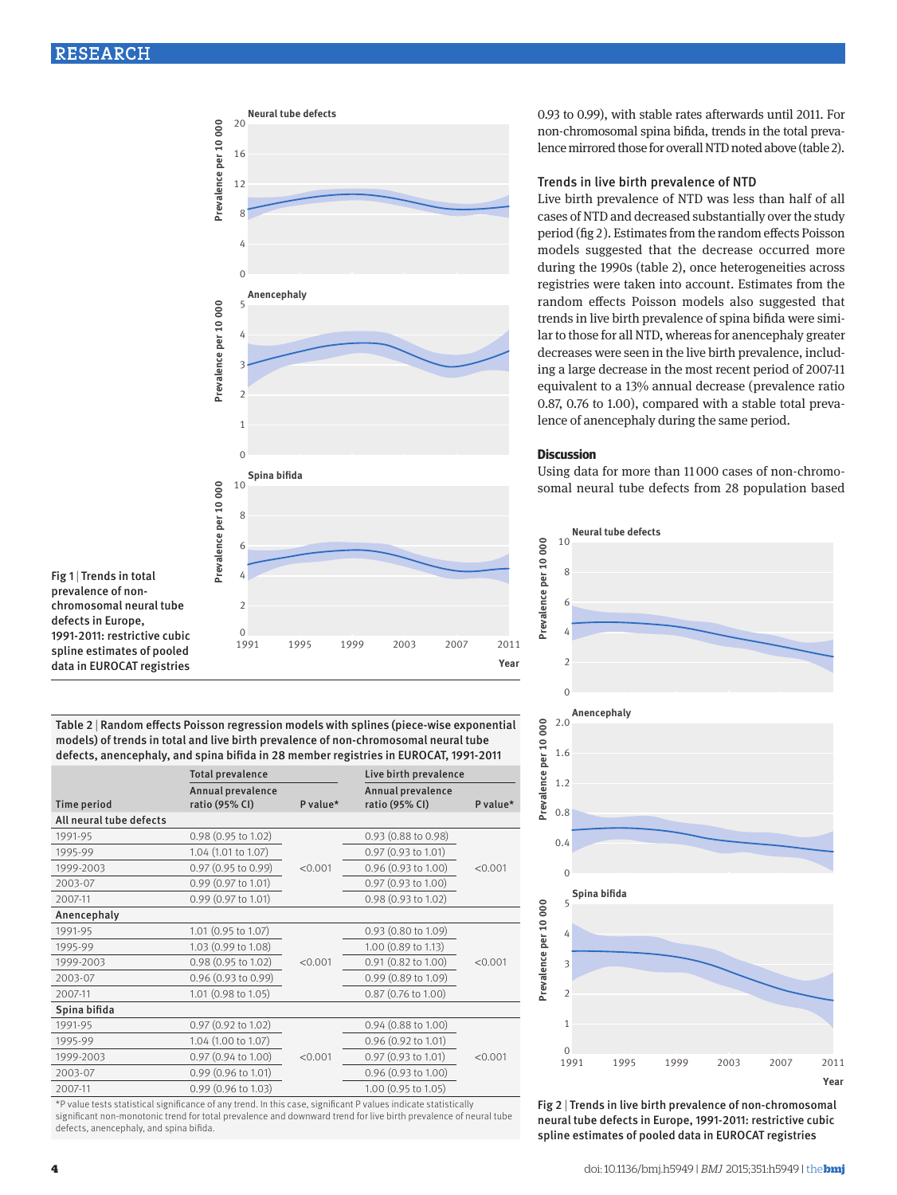

Fig 1 | Trends in total prevalence of nonchromosomal neural tube defects in Europe, 1991-2011: restrictive cubic spline estimates of pooled data in EUROCAT registries

Table 2 | Random effects Poisson regression models with splines (piece-wise exponential models) of trends in total and live birth prevalence of non-chromosomal neural tube defects, anencephaly, and spina bifida in 28 member registries in EUROCAT, 1991-2011

|                         | <b>Total prevalence</b>             |          | Live birth prevalence               |          |
|-------------------------|-------------------------------------|----------|-------------------------------------|----------|
| Time period             | Annual prevalence<br>ratio (95% CI) | P value* | Annual prevalence<br>ratio (95% CI) | P value* |
| All neural tube defects |                                     |          |                                     |          |
| 1991-95                 | 0.98 (0.95 to 1.02)                 | < 0.001  | 0.93 (0.88 to 0.98)                 |          |
| 1995-99                 | 1.04 (1.01 to 1.07)                 |          | 0.97 (0.93 to 1.01)                 |          |
| 1999-2003               | $0.97(0.95 \text{ to } 0.99)$       |          | 0.96 (0.93 to 1.00)                 | < 0.001  |
| 2003-07                 | 0.99 (0.97 to 1.01)                 |          | 0.97 (0.93 to 1.00)                 |          |
| 2007-11                 | 0.99 (0.97 to 1.01)                 |          | 0.98 (0.93 to 1.02)                 |          |
| Anencephaly             |                                     |          |                                     |          |
| 1991-95                 | 1.01 (0.95 to 1.07)                 | < 0.001  | 0.93 (0.80 to 1.09)                 | < 0.001  |
| 1995-99                 | 1.03 (0.99 to 1.08)                 |          | 1.00 (0.89 to 1.13)                 |          |
| 1999-2003               | 0.98 (0.95 to 1.02)                 |          | 0.91 (0.82 to 1.00)                 |          |
| 2003-07                 | 0.96(0.93 to 0.99)                  |          | 0.99 (0.89 to 1.09)                 |          |
| 2007-11                 | 1.01 (0.98 to 1.05)                 |          | 0.87 (0.76 to 1.00)                 |          |
| Spina bifida            |                                     |          |                                     |          |
| 1991-95                 | 0.97 (0.92 to 1.02)                 | < 0.001  | 0.94 (0.88 to 1.00)                 | < 0.001  |
| 1995-99                 | 1.04 (1.00 to 1.07)                 |          | 0.96 (0.92 to 1.01)                 |          |
| 1999-2003               | 0.97 (0.94 to 1.00)                 |          | 0.97 (0.93 to 1.01)                 |          |
| 2003-07                 | $0.99$ (0.96 to 1.01)               |          | 0.96 (0.93 to 1.00)                 |          |
| 2007-11                 | 0.99 (0.96 to 1.03)                 |          | 1.00 (0.95 to 1.05)                 |          |
|                         |                                     |          |                                     |          |

\*P value tests statistical significance of any trend. In this case, significant P values indicate statistically significant non-monotonic trend for total prevalence and downward trend for live birth prevalence of neural tube defects, anencephaly, and spina bifida.

0.93 to 0.99), with stable rates afterwards until 2011. For non-chromosomal spina bifida, trends in the total prevalence mirrored those for overall NTD noted above (table 2).

## Trends in live birth prevalence of NTD

Live birth prevalence of NTD was less than half of all cases of NTD and decreased substantially over the study period (fig 2). Estimates from the random effects Poisson models suggested that the decrease occurred more during the 1990s (table 2), once heterogeneities across registries were taken into account. Estimates from the random effects Poisson models also suggested that trends in live birth prevalence of spina bifida were similar to those for all NTD, whereas for anencephaly greater decreases were seen in the live birth prevalence, including a large decrease in the most recent period of 2007-11 equivalent to a 13% annual decrease (prevalence ratio 0.87, 0.76 to 1.00), compared with a stable total prevalence of anencephaly during the same period.

# **Discussion**

Using data for more than 11000 cases of non-chromosomal neural tube defects from 28 population based



Fig 2 | Trends in live birth prevalence of non-chromosomal neural tube defects in Europe, 1991-2011: restrictive cubic spline estimates of pooled data in EUROCAT registries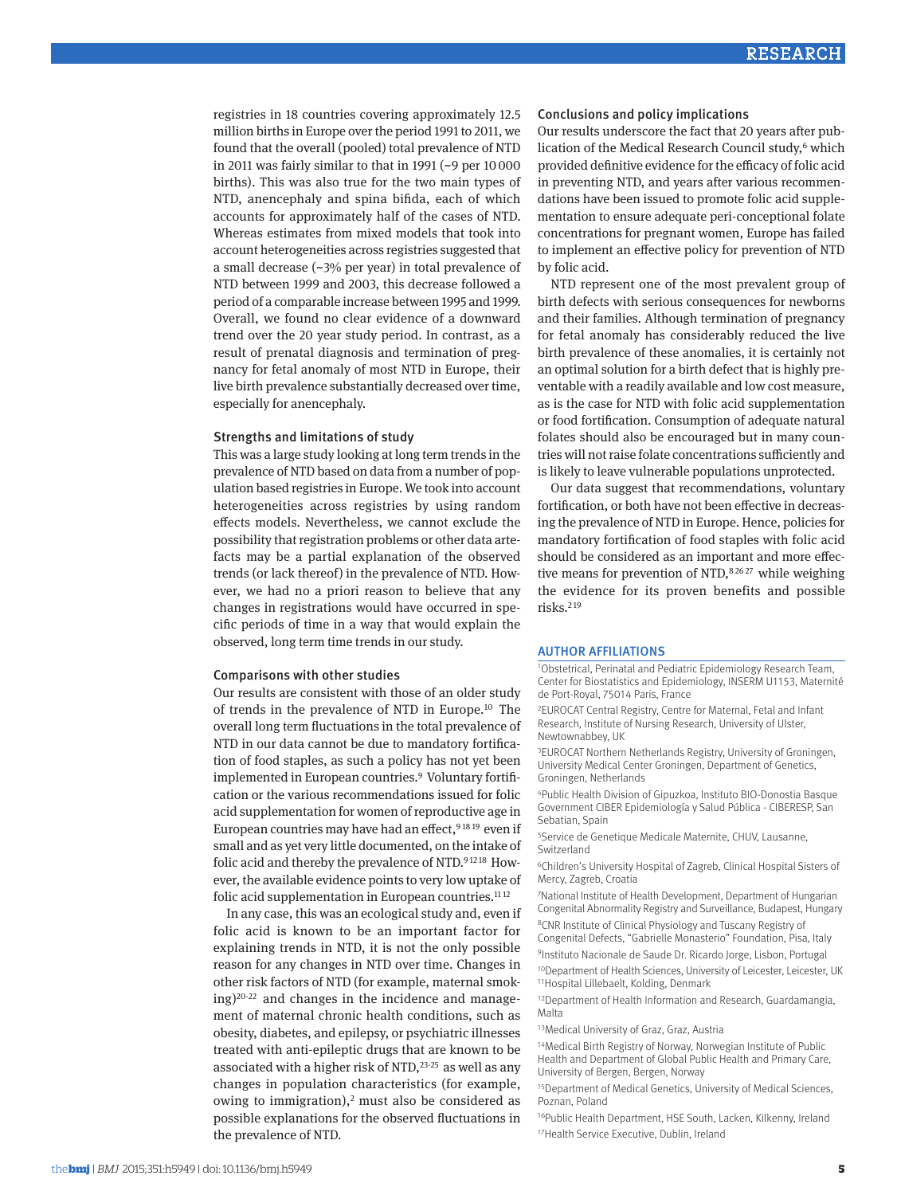registries in 18 countries covering approximately 12.5 million births in Europe over the period 1991 to 2011, we found that the overall (pooled) total prevalence of NTD in 2011 was fairly similar to that in 1991 ( $-9$  per 10000 births). This was also true for the two main types of NTD, anencephaly and spina bifida, each of which accounts for approximately half of the cases of NTD. Whereas estimates from mixed models that took into account heterogeneities across registries suggested that a small decrease (~3% per year) in total prevalence of NTD between 1999 and 2003, this decrease followed a period of a comparable increase between 1995 and 1999. Overall, we found no clear evidence of a downward trend over the 20 year study period. In contrast, as a result of prenatal diagnosis and termination of pregnancy for fetal anomaly of most NTD in Europe, their live birth prevalence substantially decreased over time, especially for anencephaly.

#### Strengths and limitations of study

This was a large study looking at long term trends in the prevalence of NTD based on data from a number of population based registries in Europe. We took into account heterogeneities across registries by using random effects models. Nevertheless, we cannot exclude the possibility that registration problems or other data artefacts may be a partial explanation of the observed trends (or lack thereof) in the prevalence of NTD. However, we had no a priori reason to believe that any changes in registrations would have occurred in specific periods of time in a way that would explain the observed, long term time trends in our study.

#### Comparisons with other studies

Our results are consistent with those of an older study of trends in the prevalence of NTD in Europe.10 The overall long term fluctuations in the total prevalence of NTD in our data cannot be due to mandatory fortification of food staples, as such a policy has not yet been implemented in European countries.<sup>9</sup> Voluntary fortification or the various recommendations issued for folic acid supplementation for women of reproductive age in European countries may have had an effect,  $91819$  even if small and as yet very little documented, on the intake of folic acid and thereby the prevalence of NTD.91218 However, the available evidence points to very low uptake of folic acid supplementation in European countries.<sup>1112</sup>

In any case, this was an ecological study and, even if folic acid is known to be an important factor for explaining trends in NTD, it is not the only possible reason for any changes in NTD over time. Changes in other risk factors of NTD (for example, maternal smoking)20-22 and changes in the incidence and management of maternal chronic health conditions, such as obesity, diabetes, and epilepsy, or psychiatric illnesses treated with anti-epileptic drugs that are known to be associated with a higher risk of NTD, $23-25$  as well as any changes in population characteristics (for example, owing to immigration), $2$  must also be considered as possible explanations for the observed fluctuations in the prevalence of NTD.

#### Conclusions and policy implications

Our results underscore the fact that 20 years after publication of the Medical Research Council study,<sup>6</sup> which provided definitive evidence for the efficacy of folic acid in preventing NTD, and years after various recommendations have been issued to promote folic acid supplementation to ensure adequate peri-conceptional folate concentrations for pregnant women, Europe has failed to implement an effective policy for prevention of NTD by folic acid.

NTD represent one of the most prevalent group of birth defects with serious consequences for newborns and their families. Although termination of pregnancy for fetal anomaly has considerably reduced the live birth prevalence of these anomalies, it is certainly not an optimal solution for a birth defect that is highly preventable with a readily available and low cost measure, as is the case for NTD with folic acid supplementation or food fortification. Consumption of adequate natural folates should also be encouraged but in many countries will not raise folate concentrations sufficiently and is likely to leave vulnerable populations unprotected.

Our data suggest that recommendations, voluntary fortification, or both have not been effective in decreasing the prevalence of NTD in Europe. Hence, policies for mandatory fortification of food staples with folic acid should be considered as an important and more effective means for prevention of NTD, $82627$  while weighing the evidence for its proven benefits and possible risks.<sup>219</sup>

#### Author affiliations

1Obstetrical, Perinatal and Pediatric Epidemiology Research Team, Center for Biostatistics and Epidemiology, INSERM U1153, Maternité de Port-Royal, 75014 Paris, France

2EUROCAT Central Registry, Centre for Maternal, Fetal and Infant Research, Institute of Nursing Research, University of Ulster, Newtownabbey, UK

3EUROCAT Northern Netherlands Registry, University of Groningen, University Medical Center Groningen, Department of Genetics, Groningen, Netherlands

4Public Health Division of Gipuzkoa, Instituto BIO-Donostia Basque Government CIBER Epidemiología y Salud Pública - CIBERESP, San Sebatian, Spain

5Service de Genetique Medicale Maternite, CHUV, Lausanne, Switzerland

6Children's University Hospital of Zagreb, Clinical Hospital Sisters of Mercy, Zagreb, Croatia

7 National Institute of Health Development, Department of Hungarian Congenital Abnormality Registry and Surveillance, Budapest, Hungary 8CNR Institute of Clinical Physiology and Tuscany Registry of

Congenital Defects, "Gabrielle Monasterio" Foundation, Pisa, Italy 9Instituto Nacionale de Saude Dr. Ricardo Jorge, Lisbon, Portugal

10Department of Health Sciences, University of Leicester, Leicester, UK 11Hospital Lillebaelt, Kolding, Denmark

12Department of Health Information and Research, Guardamangia, Malta

13Medical University of Graz, Graz, Austria

14Medical Birth Registry of Norway, Norwegian Institute of Public Health and Department of Global Public Health and Primary Care, University of Bergen, Bergen, Norway

15Department of Medical Genetics, University of Medical Sciences, Poznan, Poland

16Public Health Department, HSE South, Lacken, Kilkenny, Ireland 17Health Service Executive, Dublin, Ireland